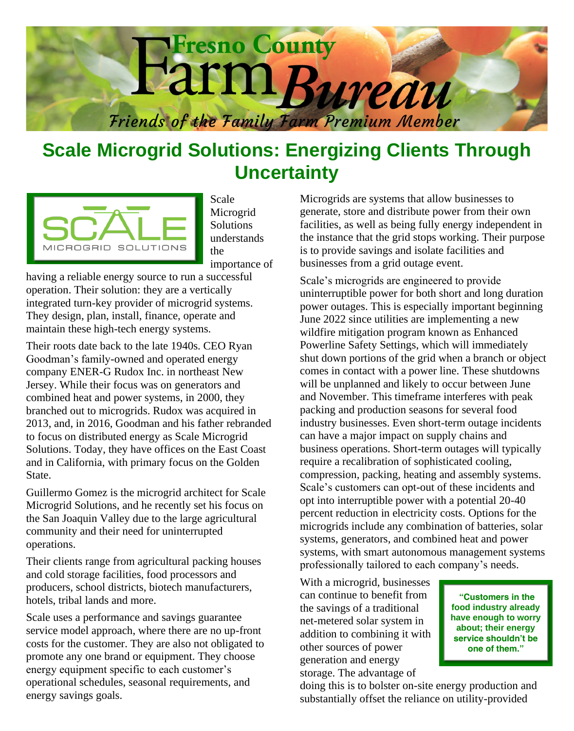

## **Scale Microgrid Solutions: Energizing Clients Through Uncertainty**



Scale Microgrid Solutions understands the importance of

having a reliable energy source to run a successful operation. Their solution: they are a vertically integrated turn-key provider of microgrid systems. They design, plan, install, finance, operate and maintain these high-tech energy systems.

Their roots date back to the late 1940s. CEO Ryan Goodman's family-owned and operated energy company ENER-G Rudox Inc. in northeast New Jersey. While their focus was on generators and combined heat and power systems, in 2000, they branched out to microgrids. Rudox was acquired in 2013, and, in 2016, Goodman and his father rebranded to focus on distributed energy as Scale Microgrid Solutions. Today, they have offices on the East Coast and in California, with primary focus on the Golden State.

Guillermo Gomez is the microgrid architect for Scale Microgrid Solutions, and he recently set his focus on the San Joaquin Valley due to the large agricultural community and their need for uninterrupted operations.

Their clients range from agricultural packing houses and cold storage facilities, food processors and producers, school districts, biotech manufacturers, hotels, tribal lands and more.

Scale uses a performance and savings guarantee service model approach, where there are no up-front costs for the customer. They are also not obligated to promote any one brand or equipment. They choose energy equipment specific to each customer's operational schedules, seasonal requirements, and energy savings goals.

Microgrids are systems that allow businesses to generate, store and distribute power from their own facilities, as well as being fully energy independent in the instance that the grid stops working. Their purpose is to provide savings and isolate facilities and businesses from a grid outage event.

Scale's microgrids are engineered to provide uninterruptible power for both short and long duration power outages. This is especially important beginning June 2022 since utilities are implementing a new wildfire mitigation program known as Enhanced Powerline Safety Settings, which will immediately shut down portions of the grid when a branch or object comes in contact with a power line. These shutdowns will be unplanned and likely to occur between June and November. This timeframe interferes with peak packing and production seasons for several food industry businesses. Even short-term outage incidents can have a major impact on supply chains and business operations. Short-term outages will typically require a recalibration of sophisticated cooling, compression, packing, heating and assembly systems. Scale's customers can opt-out of these incidents and opt into interruptible power with a potential 20-40 percent reduction in electricity costs. Options for the microgrids include any combination of batteries, solar systems, generators, and combined heat and power systems, with smart autonomous management systems professionally tailored to each company's needs.

With a microgrid, businesses can continue to benefit from the savings of a traditional net-metered solar system in addition to combining it with other sources of power generation and energy storage. The advantage of

**"Customers in the food industry already have enough to worry about; their energy service shouldn't be one of them."**

doing this is to bolster on-site energy production and substantially offset the reliance on utility-provided